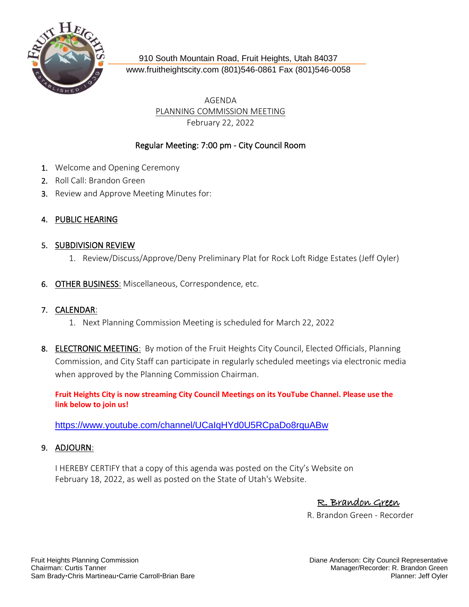

910 South Mountain Road, Fruit Heights, Utah 84037 [www.fruitheightscity.com](http://www.fruitheightscity.com/) (801)546-0861 Fax (801)546-0058

> AGENDA PLANNING COMMISSION MEETING February 22, 2022

## Regular Meeting: 7:00 pm - City Council Room

- 1. Welcome and Opening Ceremony
- 2. Roll Call: Brandon Green
- 3. Review and Approve Meeting Minutes for:

## 4. PUBLIC HEARING

## 5. SUBDIVISION REVIEW

- 1. Review/Discuss/Approve/Deny Preliminary Plat for Rock Loft Ridge Estates (Jeff Oyler)
- 6. OTHER BUSINESS: Miscellaneous, Correspondence, etc.

## 7. CALENDAR:

- 1. Next Planning Commission Meeting is scheduled for March 22, 2022
- 8. ELECTRONIC MEETING: By motion of the Fruit Heights City Council, Elected Officials, Planning Commission, and City Staff can participate in regularly scheduled meetings via electronic media when approved by the Planning Commission Chairman.

**Fruit Heights City is now streaming City Council Meetings on its YouTube Channel. Please use the link below to join us!** 

<https://www.youtube.com/channel/UCaIqHYd0U5RCpaDo8rquABw>

9. ADJOURN:

I HEREBY CERTIFY that a copy of this agenda was posted on the City's Website on February 18, 2022, as well as posted on the State of Utah's Website.

R. Brandon Green

R. Brandon Green - Recorder